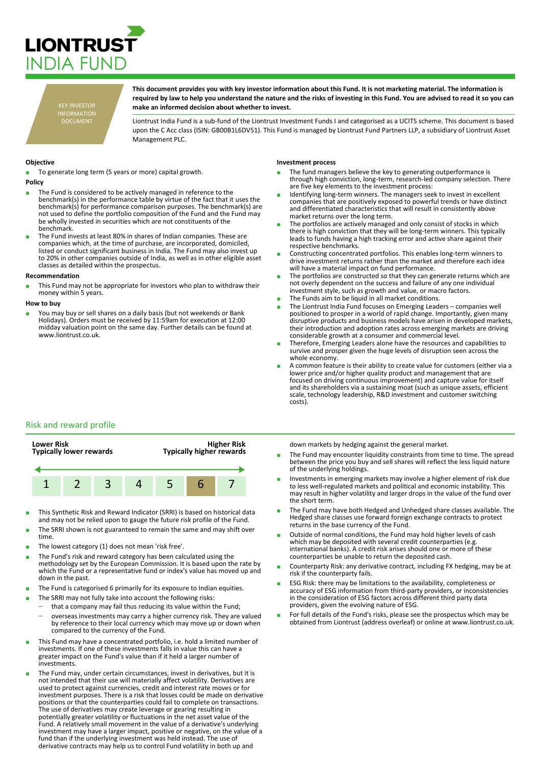

KEY INVESTOR INFORMATION DOCUMENT

**This document provides you with key investor information about this Fund. It is not marketing material. The information is required by law to help you understand the nature and the risks of investing in this Fund. You are advised to read it so you can make an informed decision about whether to invest.**

Liontrust India Fund is a sub-fund of the Liontrust Investment Funds I and categorised as a UCITS scheme. This document is based upon the C Acc class (ISIN: GB00B1L6DV51). This Fund is managed by Liontrust Fund Partners LLP, a subsidiary of Liontrust Asset Management PLC.

# **Objective**

To generate long term (5 years or more) capital growth.

- **Policy**
- The Fund is considered to be actively managed in reference to the benchmark(s) in the performance table by virtue of the fact that it uses the benchmark(s) for performance comparison purposes. The benchmark(s) are not used to define the portfolio composition of the Fund and the Fund may be wholly invested in securities which are not constituents of the benchmark.
- The Fund invests at least 80% in shares of Indian companies. These are companies which, at the time of purchase, are incorporated, domiciled, listed or conduct significant business in India. The Fund may also invest up to 20% in other companies outside of India, as well as in other eligible asset classes as detailed within the prospectus.

#### **Recommendation**

This Fund may not be appropriate for investors who plan to withdraw their money within 5 years.

#### **How to buy**

You may buy or sell shares on a daily basis (but not weekends or Bank Holidays). Orders must be received by 11:59am for execution at 12:00 midday valuation point on the same day. Further details can be found at www.liontrust.co.uk

# **Investment process**

- The fund managers believe the key to generating outperformance is through high conviction, long-term, research-led company selection. There are five key elements to the investment process:
- Identifying long-term winners. The managers seek to invest in excellent companies that are positively exposed to powerful trends or have distinct and differentiated characteristics that will result in consistently above market returns over the long term.
- The portfolios are actively managed and only consist of stocks in which there is high conviction that they will be long-term winners. This typically leads to funds having a high tracking error and active share against their respective benchmarks.
- Constructing concentrated portfolios. This enables long-term winners to drive investment returns rather than the market and therefore each idea will have a material impact on fund performance.
- The portfolios are constructed so that they can generate returns which are not overly dependent on the success and failure of any one individual investment style, such as growth and value, or macro factors.
- The Funds aim to be liquid in all market conditions.
- The Liontrust India Fund focuses on Emerging Leaders companies well positioned to prosper in a world of rapid change. Importantly, given many disruptive products and business models have arisen in developed markets, their introduction and adoption rates across emerging markets are driving considerable growth at a consumer and commercial level.
- Therefore, Emerging Leaders alone have the resources and capabilities to survive and prosper given the huge levels of disruption seen across the whole economy.
- A common feature is their ability to create value for customers (either via a lower price and/or higher quality product and management that are focused on driving continuous improvement) and capture value for itself and its shareholders via a sustaining moat (such as unique assets, efficient scale, technology leadership, R&D investment and customer switching costs).

# Risk and reward profile



- This Synthetic Risk and Reward Indicator (SRRI) is based on historical data and may not be relied upon to gauge the future risk profile of the Fund.
- The SRRI shown is not guaranteed to remain the same and may shift over time.
- The lowest category (1) does not mean 'risk free'.
- The Fund's risk and reward category has been calculated using the methodology set by the European Commission. It is based upon the rate by which the Fund or a representative fund or index's value has moved up and down in the past.
- The Fund is categorised 6 primarily for its exposure to Indian equities.
- The SRRI may not fully take into account the following risks:
	- that a company may fail thus reducing its value within the Fund;
	- overseas investments may carry a higher currency risk. They are valued by reference to their local currency which may move up or down when compared to the currency of the Fund.
- This Fund may have a concentrated portfolio, i.e. hold a limited number of investments. If one of these investments falls in value this can have a greater impact on the Fund's value than if it held a larger number of investments.
- The Fund may, under certain circumstances, invest in derivatives, but it is not intended that their use will materially affect volatility. Derivatives are used to protect against currencies, credit and interest rate moves or for investment purposes. There is a risk that losses could be made on derivative positions or that the counterparties could fail to complete on transactions. The use of derivatives may create leverage or gearing resulting in potentially greater volatility or fluctuations in the net asset value of the Fund. A relatively small movement in the value of a derivative's underlying investment may have a larger impact, positive or negative, on the value of a fund than if the underlying investment was held instead. The use of derivative contracts may help us to control Fund volatility in both up and

down markets by hedging against the general market.

- The Fund may encounter liquidity constraints from time to time. The spread between the price you buy and sell shares will reflect the less liquid nature of the underlying holdings.
- Investments in emerging markets may involve a higher element of risk due to less well-regulated markets and political and economic instability. This may result in higher volatility and larger drops in the value of the fund over the short term.
- The Fund may have both Hedged and Unhedged share classes available. The Hedged share classes use forward foreign exchange contracts to protect returns in the base currency of the Fund.
- Outside of normal conditions, the Fund may hold higher levels of cash which may be deposited with several credit counterparties (e.g. international banks). A credit risk arises should one or more of these counterparties be unable to return the deposited cash.
- Counterparty Risk: any derivative contract, including FX hedging, may be at risk if the counterparty fails.
- ESG Risk: there may be limitations to the availability, completeness or accuracy of ESG information from third-party providers, or inconsistencies in the consideration of ESG factors across different third party data providers, given the evolving nature of ESG.
- For full details of the Fund's risks, please see the prospectus which may be obtained from Liontrust (address overleaf) or online at www.liontrust.co.uk.